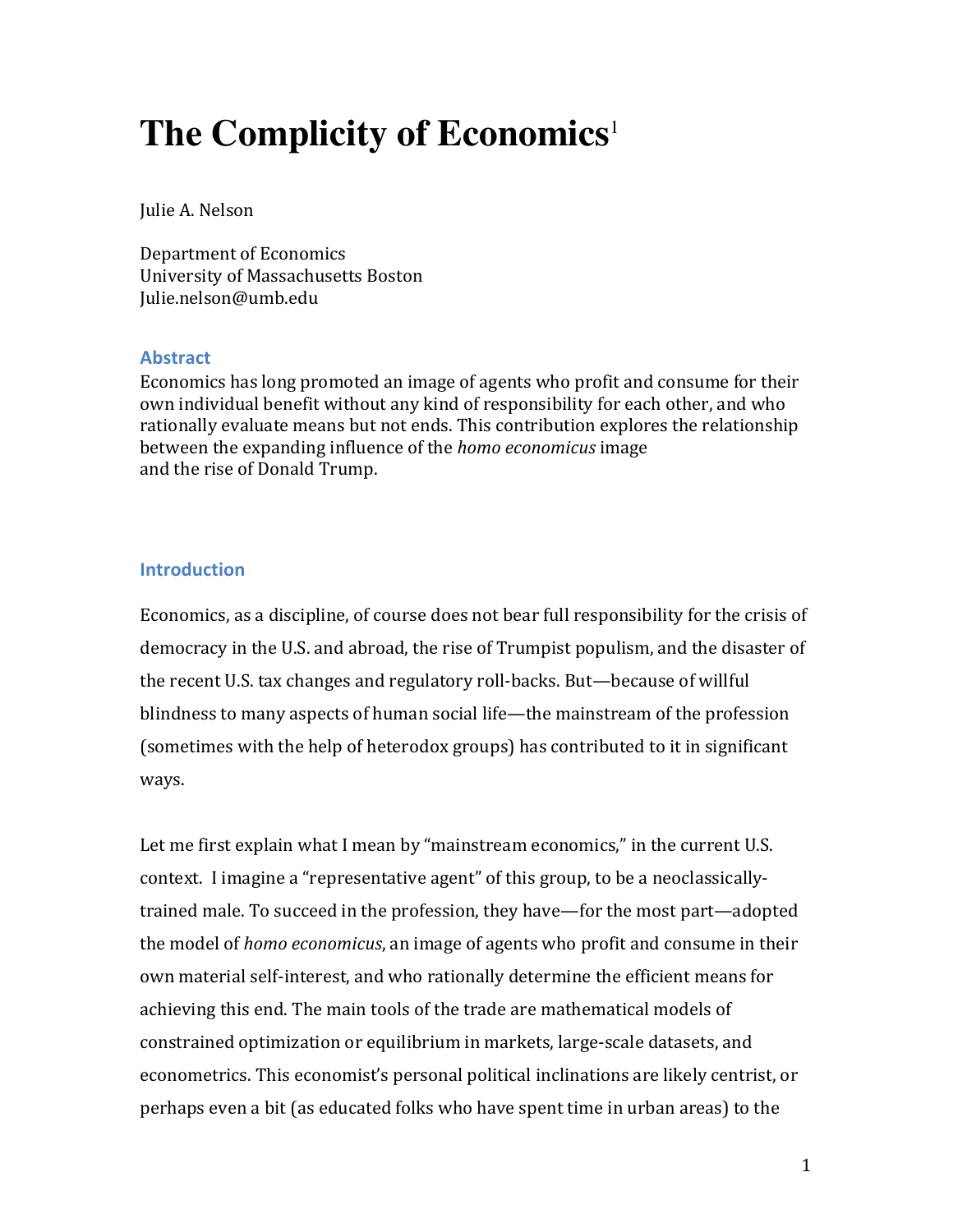# **The Complicity of Economics**<sup>1</sup>

Julie A. Nelson

Department of Economics University of Massachusetts Boston Julie.nelson@umb.edu

## **Abstract**

Economics has long promoted an image of agents who profit and consume for their own individual benefit without any kind of responsibility for each other, and who rationally evaluate means but not ends. This contribution explores the relationship between the expanding influence of the *homo economicus* image and the rise of Donald Trump.

# **Introduction**

Economics, as a discipline, of course does not bear full responsibility for the crisis of democracy in the U.S. and abroad, the rise of Trumpist populism, and the disaster of the recent U.S. tax changes and regulatory roll-backs. But—because of willful blindness to many aspects of human social life—the mainstream of the profession (sometimes with the help of heterodox groups) has contributed to it in significant ways. 

Let me first explain what I mean by "mainstream economics," in the current U.S. context. I imagine a "representative agent" of this group, to be a neoclassicallytrained male. To succeed in the profession, they have—for the most part—adopted the model of *homo economicus*, an image of agents who profit and consume in their own material self-interest, and who rationally determine the efficient means for achieving this end. The main tools of the trade are mathematical models of constrained optimization or equilibrium in markets, large-scale datasets, and econometrics. This economist's personal political inclinations are likely centrist, or perhaps even a bit (as educated folks who have spent time in urban areas) to the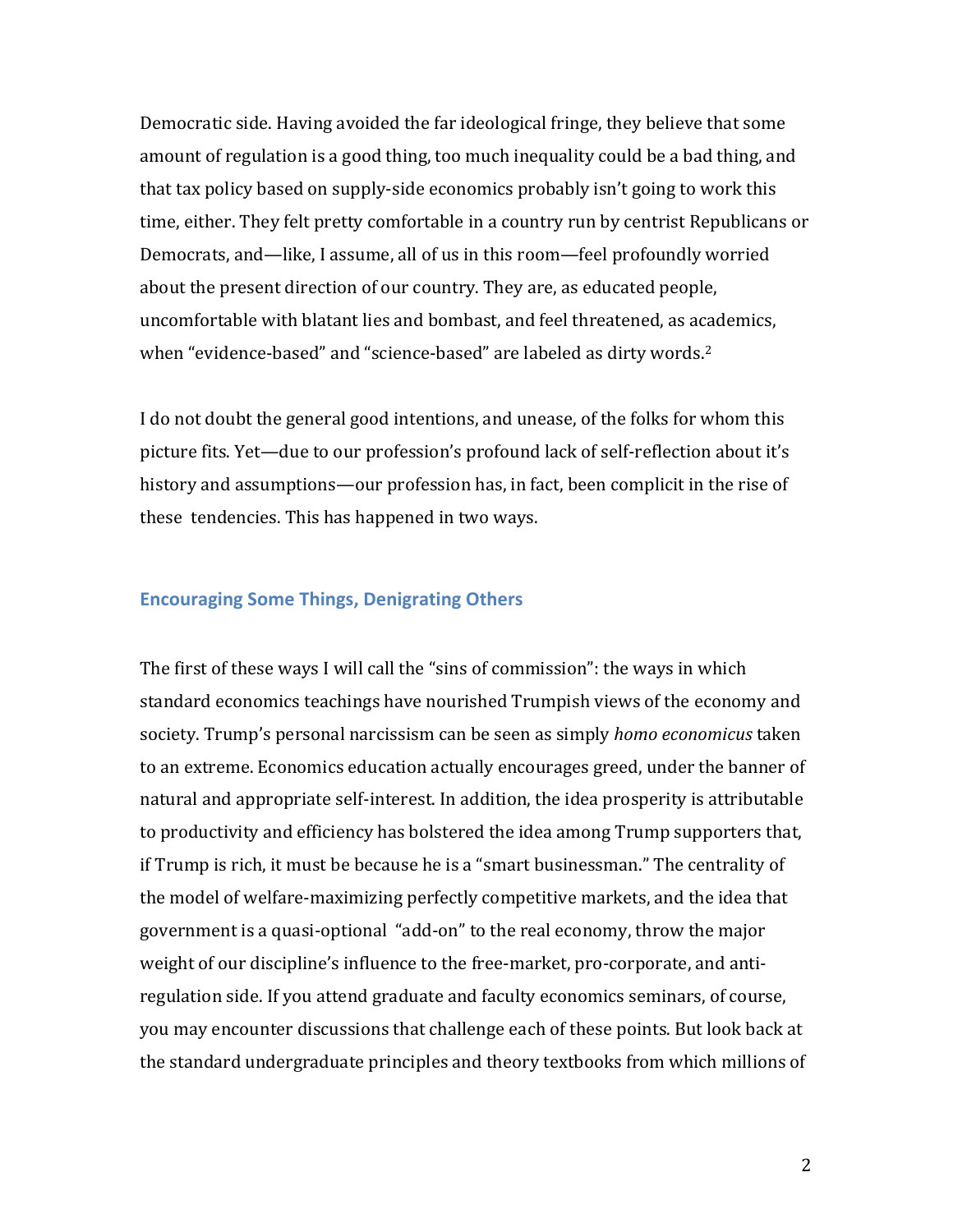Democratic side. Having avoided the far ideological fringe, they believe that some amount of regulation is a good thing, too much inequality could be a bad thing, and that tax policy based on supply-side economics probably isn't going to work this time, either. They felt pretty comfortable in a country run by centrist Republicans or Democrats, and—like, I assume, all of us in this room—feel profoundly worried about the present direction of our country. They are, as educated people, uncomfortable with blatant lies and bombast, and feel threatened, as academics, when "evidence-based" and "science-based" are labeled as dirty words.<sup>2</sup>

I do not doubt the general good intentions, and unease, of the folks for whom this picture fits. Yet—due to our profession's profound lack of self-reflection about it's history and assumptions—our profession has, in fact, been complicit in the rise of these tendencies. This has happened in two ways.

## **Encouraging Some Things, Denigrating Others**

The first of these ways I will call the "sins of commission": the ways in which standard economics teachings have nourished Trumpish views of the economy and society. Trump's personal narcissism can be seen as simply *homo economicus* taken to an extreme. Economics education actually encourages greed, under the banner of natural and appropriate self-interest. In addition, the idea prosperity is attributable to productivity and efficiency has bolstered the idea among Trump supporters that, if Trump is rich, it must be because he is a "smart businessman." The centrality of the model of welfare-maximizing perfectly competitive markets, and the idea that government is a quasi-optional "add-on" to the real economy, throw the major weight of our discipline's influence to the free-market, pro-corporate, and antiregulation side. If you attend graduate and faculty economics seminars, of course, you may encounter discussions that challenge each of these points. But look back at the standard undergraduate principles and theory textbooks from which millions of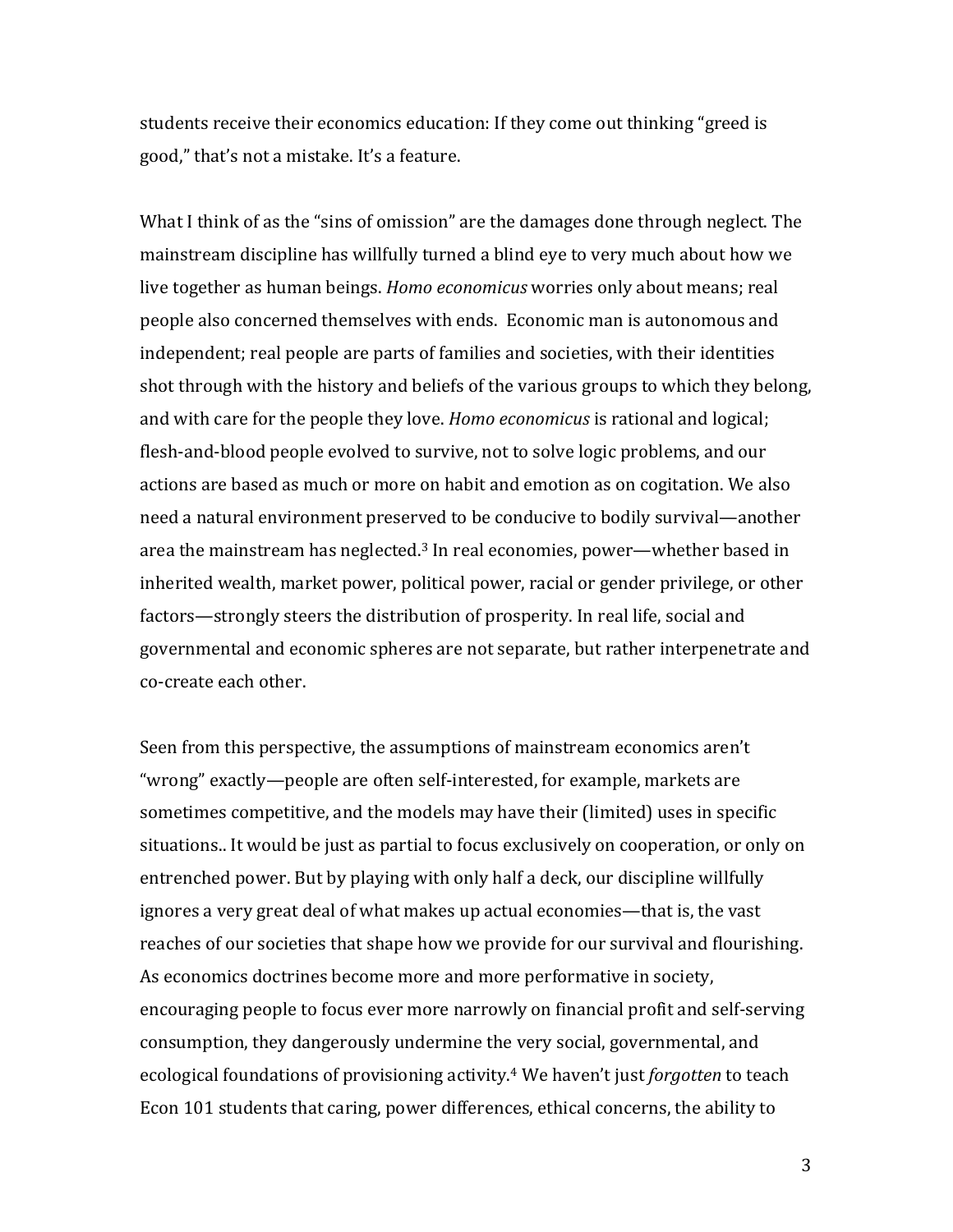students receive their economics education: If they come out thinking "greed is good," that's not a mistake. It's a feature.

What I think of as the "sins of omission" are the damages done through neglect. The mainstream discipline has willfully turned a blind eye to very much about how we live together as human beings. *Homo economicus* worries only about means; real people also concerned themselves with ends. Economic man is autonomous and independent; real people are parts of families and societies, with their identities shot through with the history and beliefs of the various groups to which they belong, and with care for the people they love. *Homo economicus* is rational and logical; flesh-and-blood people evolved to survive, not to solve logic problems, and our actions are based as much or more on habit and emotion as on cogitation. We also need a natural environment preserved to be conducive to bodily survival—another area the mainstream has neglected.<sup>3</sup> In real economies, power—whether based in inherited wealth, market power, political power, racial or gender privilege, or other factors—strongly steers the distribution of prosperity. In real life, social and governmental and economic spheres are not separate, but rather interpenetrate and co-create each other.

Seen from this perspective, the assumptions of mainstream economics aren't "wrong" exactly—people are often self-interested, for example, markets are sometimes competitive, and the models may have their (limited) uses in specific situations.. It would be just as partial to focus exclusively on cooperation, or only on entrenched power. But by playing with only half a deck, our discipline willfully ignores a very great deal of what makes up actual economies—that is, the vast reaches of our societies that shape how we provide for our survival and flourishing. As economics doctrines become more and more performative in society, encouraging people to focus ever more narrowly on financial profit and self-serving consumption, they dangerously undermine the very social, governmental, and ecological foundations of provisioning activity.<sup>4</sup> We haven't just *forgotten* to teach Econ 101 students that caring, power differences, ethical concerns, the ability to

3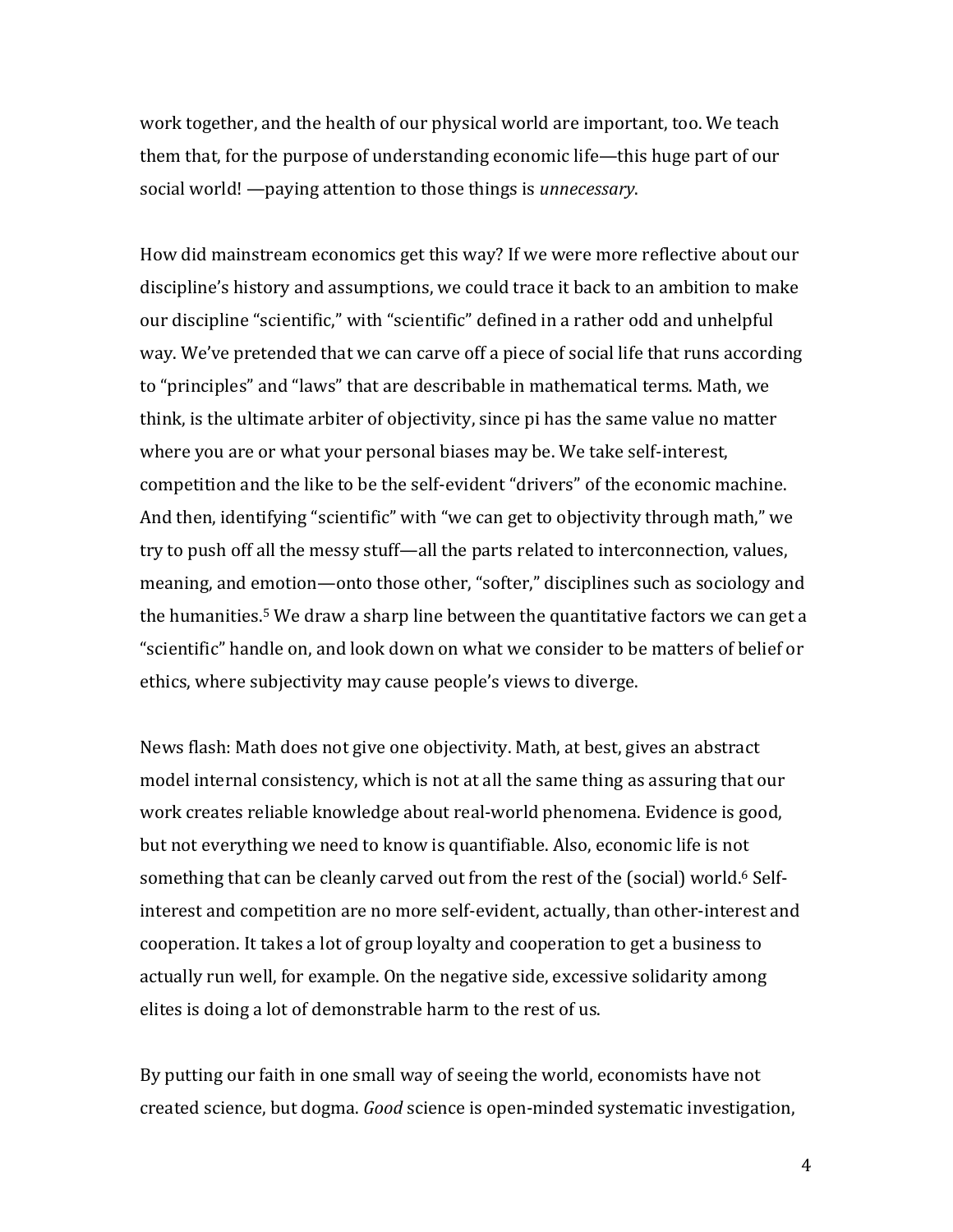work together, and the health of our physical world are important, too. We teach them that, for the purpose of understanding economic life—this huge part of our social world! —paying attention to those things is *unnecessary*.

How did mainstream economics get this way? If we were more reflective about our discipline's history and assumptions, we could trace it back to an ambition to make our discipline "scientific," with "scientific" defined in a rather odd and unhelpful way. We've pretended that we can carve off a piece of social life that runs according to "principles" and "laws" that are describable in mathematical terms. Math, we think, is the ultimate arbiter of objectivity, since pi has the same value no matter where you are or what your personal biases may be. We take self-interest, competition and the like to be the self-evident "drivers" of the economic machine. And then, identifying "scientific" with "we can get to objectivity through math," we try to push off all the messy stuff—all the parts related to interconnection, values, meaning, and emotion—onto those other, "softer," disciplines such as sociology and the humanities.<sup>5</sup> We draw a sharp line between the quantitative factors we can get a "scientific" handle on, and look down on what we consider to be matters of belief or ethics, where subjectivity may cause people's views to diverge.

News flash: Math does not give one objectivity. Math, at best, gives an abstract model internal consistency, which is not at all the same thing as assuring that our work creates reliable knowledge about real-world phenomena. Evidence is good, but not everything we need to know is quantifiable. Also, economic life is not something that can be cleanly carved out from the rest of the (social) world.<sup>6</sup> Selfinterest and competition are no more self-evident, actually, than other-interest and cooperation. It takes a lot of group loyalty and cooperation to get a business to actually run well, for example. On the negative side, excessive solidarity among elites is doing a lot of demonstrable harm to the rest of us.

By putting our faith in one small way of seeing the world, economists have not created science, but dogma. *Good* science is open-minded systematic investigation,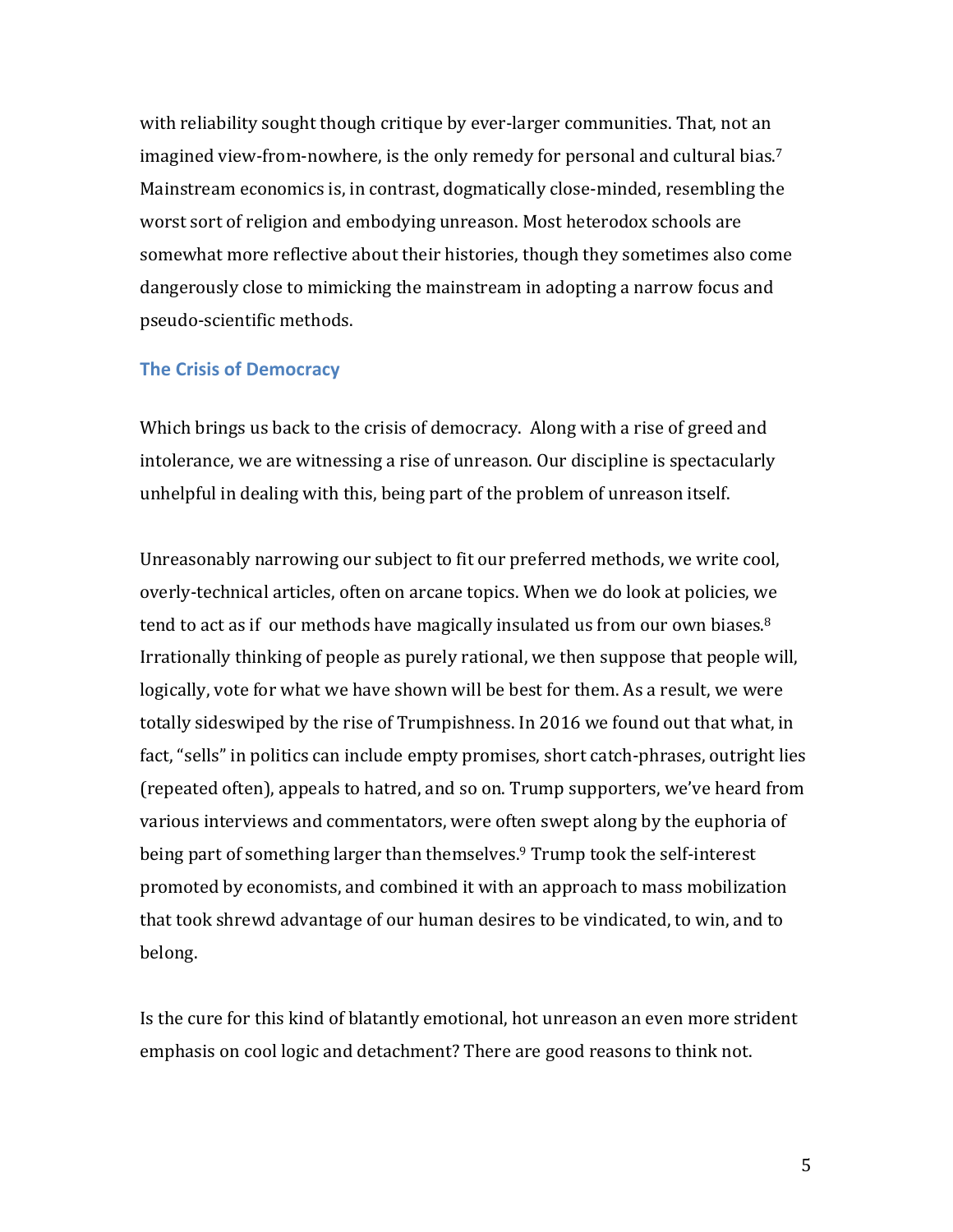with reliability sought though critique by ever-larger communities. That, not an imagined view-from-nowhere, is the only remedy for personal and cultural bias.<sup>7</sup> Mainstream economics is, in contrast, dogmatically close-minded, resembling the worst sort of religion and embodying unreason. Most heterodox schools are somewhat more reflective about their histories, though they sometimes also come dangerously close to mimicking the mainstream in adopting a narrow focus and pseudo-scientific methods.

#### **The Crisis of Democracy**

Which brings us back to the crisis of democracy. Along with a rise of greed and intolerance, we are witnessing a rise of unreason. Our discipline is spectacularly unhelpful in dealing with this, being part of the problem of unreason itself.

Unreasonably narrowing our subject to fit our preferred methods, we write cool, overly-technical articles, often on arcane topics. When we do look at policies, we tend to act as if our methods have magically insulated us from our own biases.<sup>8</sup> Irrationally thinking of people as purely rational, we then suppose that people will, logically, vote for what we have shown will be best for them. As a result, we were totally sideswiped by the rise of Trumpishness. In 2016 we found out that what, in fact, "sells" in politics can include empty promises, short catch-phrases, outright lies (repeated often), appeals to hatred, and so on. Trump supporters, we've heard from various interviews and commentators, were often swept along by the euphoria of being part of something larger than themselves.<sup>9</sup> Trump took the self-interest promoted by economists, and combined it with an approach to mass mobilization that took shrewd advantage of our human desires to be vindicated, to win, and to belong.

Is the cure for this kind of blatantly emotional, hot unreason an even more strident emphasis on cool logic and detachment? There are good reasons to think not.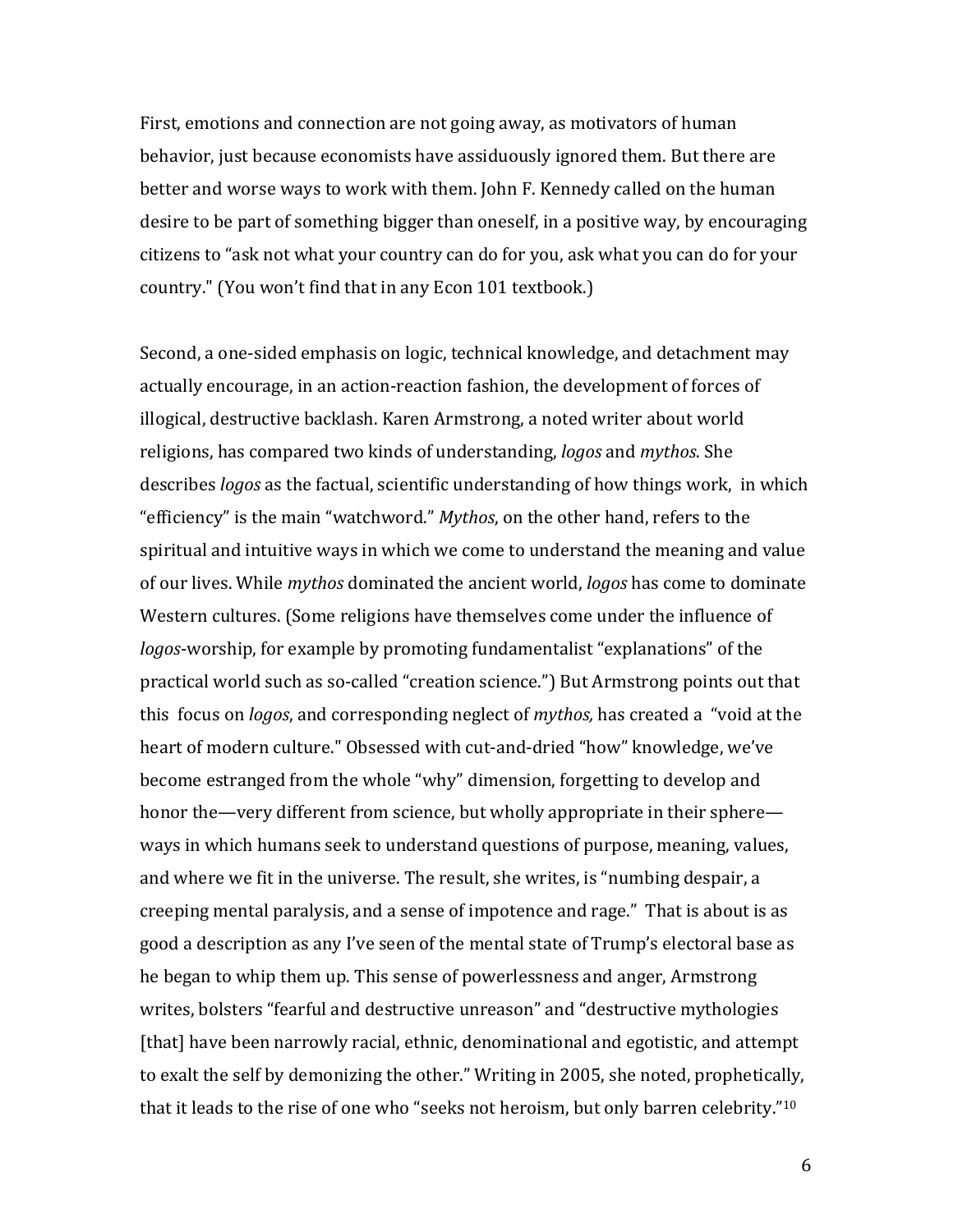First, emotions and connection are not going away, as motivators of human behavior, just because economists have assiduously ignored them. But there are better and worse ways to work with them. John F. Kennedy called on the human desire to be part of something bigger than oneself, in a positive way, by encouraging citizens to "ask not what your country can do for you, ask what you can do for your country." (You won't find that in any Econ 101 textbook.)

Second, a one-sided emphasis on logic, technical knowledge, and detachment may actually encourage, in an action-reaction fashion, the development of forces of illogical, destructive backlash. Karen Armstrong, a noted writer about world religions, has compared two kinds of understanding, *logos* and *mythos*. She describes *logos* as the factual, scientific understanding of how things work, in which "efficiency" is the main "watchword." *Mythos*, on the other hand, refers to the spiritual and intuitive ways in which we come to understand the meaning and value of our lives. While *mythos* dominated the ancient world, *logos* has come to dominate Western cultures. (Some religions have themselves come under the influence of *logos*-worship, for example by promoting fundamentalist "explanations" of the practical world such as so-called "creation science.") But Armstrong points out that this focus on *logos*, and corresponding neglect of *mythos*, has created a "void at the heart of modern culture." Obsessed with cut-and-dried "how" knowledge, we've become estranged from the whole "why" dimension, forgetting to develop and honor the—very different from science, but wholly appropriate in their sphere ways in which humans seek to understand questions of purpose, meaning, values, and where we fit in the universe. The result, she writes, is "numbing despair, a creeping mental paralysis, and a sense of impotence and rage." That is about is as good a description as any I've seen of the mental state of Trump's electoral base as he began to whip them up. This sense of powerlessness and anger, Armstrong writes, bolsters "fearful and destructive unreason" and "destructive mythologies [that] have been narrowly racial, ethnic, denominational and egotistic, and attempt to exalt the self by demonizing the other." Writing in 2005, she noted, prophetically, that it leads to the rise of one who "seeks not heroism, but only barren celebrity."<sup>10</sup>

6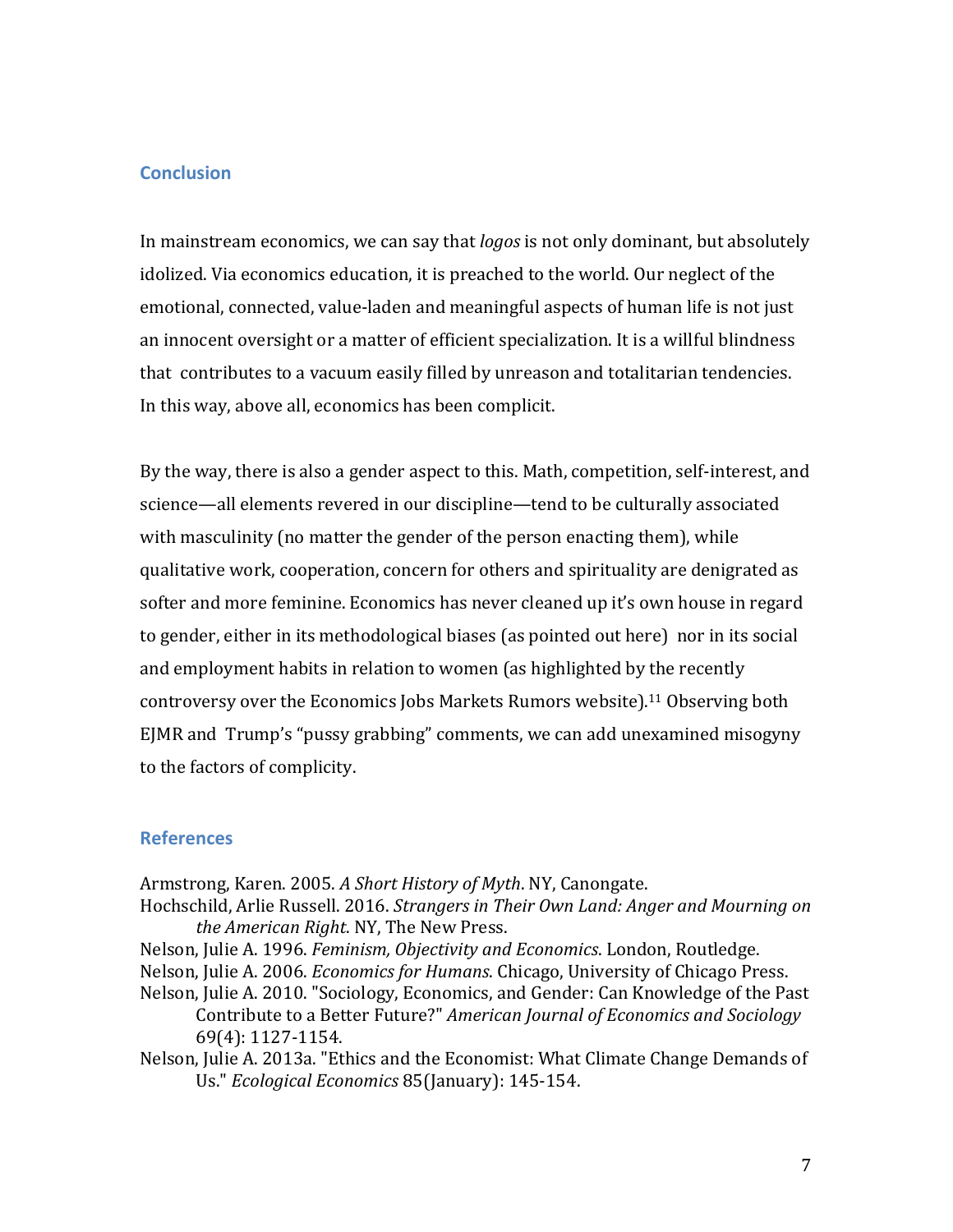#### **Conclusion**

In mainstream economics, we can say that *logos* is not only dominant, but absolutely idolized. Via economics education, it is preached to the world. Our neglect of the emotional, connected, value-laden and meaningful aspects of human life is not just an innocent oversight or a matter of efficient specialization. It is a willful blindness that contributes to a vacuum easily filled by unreason and totalitarian tendencies. In this way, above all, economics has been complicit.

By the way, there is also a gender aspect to this. Math, competition, self-interest, and science—all elements revered in our discipline—tend to be culturally associated with masculinity (no matter the gender of the person enacting them), while qualitative work, cooperation, concern for others and spirituality are denigrated as softer and more feminine. Economics has never cleaned up it's own house in regard to gender, either in its methodological biases (as pointed out here) nor in its social and employment habits in relation to women (as highlighted by the recently controversy over the Economics Jobs Markets Rumors website).<sup>11</sup> Observing both  $E/MR$  and Trump's "pussy grabbing" comments, we can add unexamined misogyny to the factors of complicity.

#### **References**

Armstrong, Karen. 2005. A Short History of Myth. NY, Canongate.

- Hochschild, Arlie Russell. 2016. *Strangers in Their Own Land: Anger and Mourning on* the American Right. NY, The New Press.
- Nelson, Julie A. 1996. *Feminism, Objectivity and Economics*. London, Routledge.
- Nelson, Julie A. 2006. *Economics for Humans*. Chicago, University of Chicago Press.
- Nelson, Julie A. 2010. "Sociology, Economics, and Gender: Can Knowledge of the Past Contribute to a Better Future?" American Journal of *Economics and Sociology* 69(4): 1127-1154.
- Nelson, Julie A. 2013a. "Ethics and the Economist: What Climate Change Demands of Us." *Ecological Economics* 85(January): 145-154.